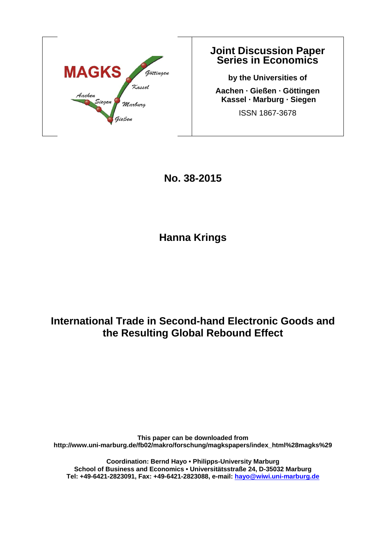

## **Joint Discussion Paper Series in Economics**

**by the Universities of Aachen · Gießen · Göttingen Kassel · Marburg · Siegen**  ISSN 1867-3678

**No. 38-2015** 

**Hanna Krings** 

## **International Trade in Second-hand Electronic Goods and the Resulting Global Rebound Effect**

**This paper can be downloaded from http://www.uni-marburg.de/fb02/makro/forschung/magkspapers/index\_html%28magks%29** 

**Coordination: Bernd Hayo • Philipps-University Marburg School of Business and Economics • Universitätsstraße 24, D-35032 Marburg Tel: +49-6421-2823091, Fax: +49-6421-2823088, e-mail: hayo@wiwi.uni-marburg.de**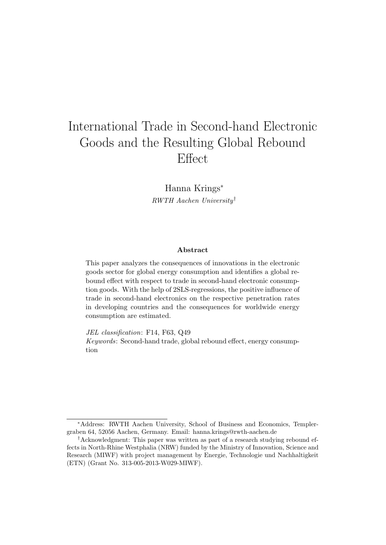# International Trade in Second-hand Electronic Goods and the Resulting Global Rebound Effect

Hanna Krings<sup>∗</sup> RWTH Aachen University†

#### Abstract

This paper analyzes the consequences of innovations in the electronic goods sector for global energy consumption and identifies a global rebound effect with respect to trade in second-hand electronic consumption goods. With the help of 2SLS-regressions, the positive influence of trade in second-hand electronics on the respective penetration rates in developing countries and the consequences for worldwide energy consumption are estimated.

JEL classification: F14, F63, Q49

Keywords: Second-hand trade, global rebound effect, energy consumption

<sup>∗</sup>Address: RWTH Aachen University, School of Business and Economics, Templergraben 64, 52056 Aachen, Germany. Email: hanna.krings@rwth-aachen.de

<sup>†</sup>Acknowledgment: This paper was written as part of a research studying rebound effects in North-Rhine Westphalia (NRW) funded by the Ministry of Innovation, Science and Research (MIWF) with project management by Energie, Technologie und Nachhaltigkeit (ETN) (Grant No. 313-005-2013-W029-MIWF).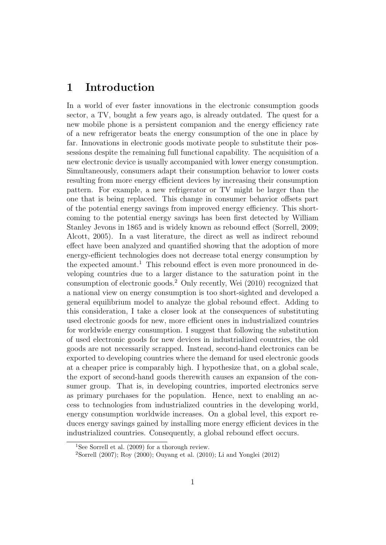### 1 Introduction

In a world of ever faster innovations in the electronic consumption goods sector, a TV, bought a few years ago, is already outdated. The quest for a new mobile phone is a persistent companion and the energy efficiency rate of a new refrigerator beats the energy consumption of the one in place by far. Innovations in electronic goods motivate people to substitute their possessions despite the remaining full functional capability. The acquisition of a new electronic device is usually accompanied with lower energy consumption. Simultaneously, consumers adapt their consumption behavior to lower costs resulting from more energy efficient devices by increasing their consumption pattern. For example, a new refrigerator or TV might be larger than the one that is being replaced. This change in consumer behavior offsets part of the potential energy savings from improved energy efficiency. This shortcoming to the potential energy savings has been first detected by William Stanley Jevons in 1865 and is widely known as rebound effect (Sorrell, 2009; Alcott, 2005). In a vast literature, the direct as well as indirect rebound effect have been analyzed and quantified showing that the adoption of more energy-efficient technologies does not decrease total energy consumption by the expected amount.<sup>1</sup> This rebound effect is even more pronounced in developing countries due to a larger distance to the saturation point in the consumption of electronic goods.<sup>2</sup> Only recently, Wei (2010) recognized that a national view on energy consumption is too short-sighted and developed a general equilibrium model to analyze the global rebound effect. Adding to this consideration, I take a closer look at the consequences of substituting used electronic goods for new, more efficient ones in industrialized countries for worldwide energy consumption. I suggest that following the substitution of used electronic goods for new devices in industrialized countries, the old goods are not necessarily scrapped. Instead, second-hand electronics can be exported to developing countries where the demand for used electronic goods at a cheaper price is comparably high. I hypothesize that, on a global scale, the export of second-hand goods therewith causes an expansion of the consumer group. That is, in developing countries, imported electronics serve as primary purchases for the population. Hence, next to enabling an access to technologies from industrialized countries in the developing world, energy consumption worldwide increases. On a global level, this export reduces energy savings gained by installing more energy efficient devices in the industrialized countries. Consequently, a global rebound effect occurs.

<sup>&</sup>lt;sup>1</sup>See Sorrell et al.  $(2009)$  for a thorough review.

<sup>&</sup>lt;sup>2</sup>Sorrell (2007); Roy (2000); Ouyang et al. (2010); Li and Yonglei (2012)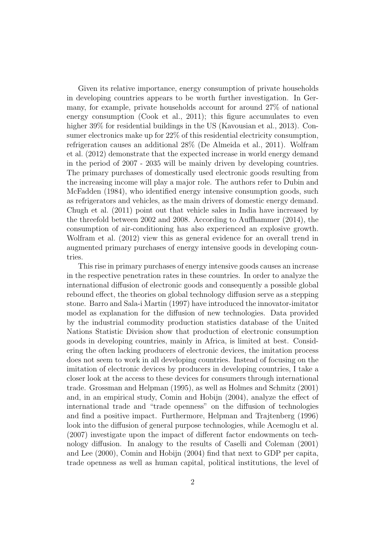Given its relative importance, energy consumption of private households in developing countries appears to be worth further investigation. In Germany, for example, private households account for around 27% of national energy consumption (Cook et al., 2011); this figure accumulates to even higher 39% for residential buildings in the US (Kavousian et al., 2013). Consumer electronics make up for 22% of this residential electricity consumption, refrigeration causes an additional 28% (De Almeida et al., 2011). Wolfram et al. (2012) demonstrate that the expected increase in world energy demand in the period of 2007 - 2035 will be mainly driven by developing countries. The primary purchases of domestically used electronic goods resulting from the increasing income will play a major role. The authors refer to Dubin and McFadden (1984), who identified energy intensive consumption goods, such as refrigerators and vehicles, as the main drivers of domestic energy demand. Chugh et al. (2011) point out that vehicle sales in India have increased by the threefold between 2002 and 2008. According to Auffhammer (2014), the consumption of air-conditioning has also experienced an explosive growth. Wolfram et al. (2012) view this as general evidence for an overall trend in augmented primary purchases of energy intensive goods in developing countries.

This rise in primary purchases of energy intensive goods causes an increase in the respective penetration rates in these countries. In order to analyze the international diffusion of electronic goods and consequently a possible global rebound effect, the theories on global technology diffusion serve as a stepping stone. Barro and Sala-i Martin (1997) have introduced the innovator-imitator model as explanation for the diffusion of new technologies. Data provided by the industrial commodity production statistics database of the United Nations Statistic Division show that production of electronic consumption goods in developing countries, mainly in Africa, is limited at best. Considering the often lacking producers of electronic devices, the imitation process does not seem to work in all developing countries. Instead of focusing on the imitation of electronic devices by producers in developing countries, I take a closer look at the access to these devices for consumers through international trade. Grossman and Helpman (1995), as well as Holmes and Schmitz (2001) and, in an empirical study, Comin and Hobijn (2004), analyze the effect of international trade and "trade openness" on the diffusion of technologies and find a positive impact. Furthermore, Helpman and Trajtenberg (1996) look into the diffusion of general purpose technologies, while Acemoglu et al. (2007) investigate upon the impact of different factor endowments on technology diffusion. In analogy to the results of Caselli and Coleman (2001) and Lee (2000), Comin and Hobijn (2004) find that next to GDP per capita, trade openness as well as human capital, political institutions, the level of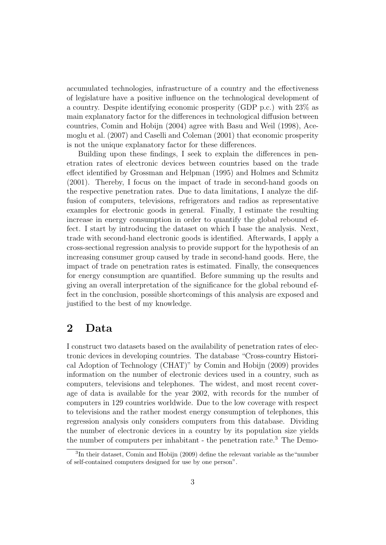accumulated technologies, infrastructure of a country and the effectiveness of legislature have a positive influence on the technological development of a country. Despite identifying economic prosperity (GDP p.c.) with 23% as main explanatory factor for the differences in technological diffusion between countries, Comin and Hobijn (2004) agree with Basu and Weil (1998), Acemoglu et al. (2007) and Caselli and Coleman (2001) that economic prosperity is not the unique explanatory factor for these differences.

Building upon these findings, I seek to explain the differences in penetration rates of electronic devices between countries based on the trade effect identified by Grossman and Helpman (1995) and Holmes and Schmitz (2001). Thereby, I focus on the impact of trade in second-hand goods on the respective penetration rates. Due to data limitations, I analyze the diffusion of computers, televisions, refrigerators and radios as representative examples for electronic goods in general. Finally, I estimate the resulting increase in energy consumption in order to quantify the global rebound effect. I start by introducing the dataset on which I base the analysis. Next, trade with second-hand electronic goods is identified. Afterwards, I apply a cross-sectional regression analysis to provide support for the hypothesis of an increasing consumer group caused by trade in second-hand goods. Here, the impact of trade on penetration rates is estimated. Finally, the consequences for energy consumption are quantified. Before summing up the results and giving an overall interpretation of the significance for the global rebound effect in the conclusion, possible shortcomings of this analysis are exposed and justified to the best of my knowledge.

## 2 Data

I construct two datasets based on the availability of penetration rates of electronic devices in developing countries. The database "Cross-country Historical Adoption of Technology (CHAT)" by Comin and Hobijn (2009) provides information on the number of electronic devices used in a country, such as computers, televisions and telephones. The widest, and most recent coverage of data is available for the year 2002, with records for the number of computers in 129 countries worldwide. Due to the low coverage with respect to televisions and the rather modest energy consumption of telephones, this regression analysis only considers computers from this database. Dividing the number of electronic devices in a country by its population size yields the number of computers per inhabitant - the penetration rate.<sup>3</sup> The Demo-

<sup>&</sup>lt;sup>3</sup>In their dataset, Comin and Hobijn (2009) define the relevant variable as the "number of self-contained computers designed for use by one person".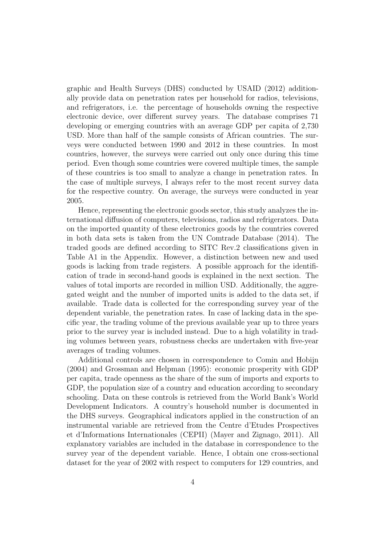graphic and Health Surveys (DHS) conducted by USAID (2012) additionally provide data on penetration rates per household for radios, televisions, and refrigerators, i.e. the percentage of households owning the respective electronic device, over different survey years. The database comprises 71 developing or emerging countries with an average GDP per capita of 2,730 USD. More than half of the sample consists of African countries. The surveys were conducted between 1990 and 2012 in these countries. In most countries, however, the surveys were carried out only once during this time period. Even though some countries were covered multiple times, the sample of these countries is too small to analyze a change in penetration rates. In the case of multiple surveys, I always refer to the most recent survey data for the respective country. On average, the surveys were conducted in year 2005.

Hence, representing the electronic goods sector, this study analyzes the international diffusion of computers, televisions, radios and refrigerators. Data on the imported quantity of these electronics goods by the countries covered in both data sets is taken from the UN Comtrade Database (2014). The traded goods are defined according to SITC Rev.2 classifications given in Table A1 in the Appendix. However, a distinction between new and used goods is lacking from trade registers. A possible approach for the identification of trade in second-hand goods is explained in the next section. The values of total imports are recorded in million USD. Additionally, the aggregated weight and the number of imported units is added to the data set, if available. Trade data is collected for the corresponding survey year of the dependent variable, the penetration rates. In case of lacking data in the specific year, the trading volume of the previous available year up to three years prior to the survey year is included instead. Due to a high volatility in trading volumes between years, robustness checks are undertaken with five-year averages of trading volumes.

Additional controls are chosen in correspondence to Comin and Hobijn (2004) and Grossman and Helpman (1995): economic prosperity with GDP per capita, trade openness as the share of the sum of imports and exports to GDP, the population size of a country and education according to secondary schooling. Data on these controls is retrieved from the World Bank's World Development Indicators. A country's household number is documented in the DHS surveys. Geographical indicators applied in the construction of an instrumental variable are retrieved from the Centre d'Etudes Prospectives et d'Informations Internationales (CEPII) (Mayer and Zignago, 2011). All explanatory variables are included in the database in correspondence to the survey year of the dependent variable. Hence, I obtain one cross-sectional dataset for the year of 2002 with respect to computers for 129 countries, and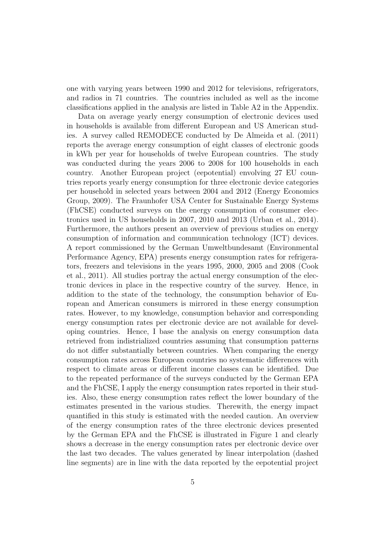one with varying years between 1990 and 2012 for televisions, refrigerators, and radios in 71 countries. The countries included as well as the income classifications applied in the analysis are listed in Table A2 in the Appendix.

Data on average yearly energy consumption of electronic devices used in households is available from different European and US American studies. A survey called REMODECE conducted by De Almeida et al. (2011) reports the average energy consumption of eight classes of electronic goods in kWh per year for households of twelve European countries. The study was conducted during the years 2006 to 2008 for 100 households in each country. Another European project (eepotential) envolving 27 EU countries reports yearly energy consumption for three electronic device categories per household in selected years between 2004 and 2012 (Energy Economics Group, 2009). The Fraunhofer USA Center for Sustainable Energy Systems (FhCSE) conducted surveys on the energy consumption of consumer electronics used in US households in 2007, 2010 and 2013 (Urban et al., 2014). Furthermore, the authors present an overview of previous studies on energy consumption of information and communication technology (ICT) devices. A report commissioned by the German Umweltbundesamt (Environmental Performance Agency, EPA) presents energy consumption rates for refrigerators, freezers and televisions in the years 1995, 2000, 2005 and 2008 (Cook et al., 2011). All studies portray the actual energy consumption of the electronic devices in place in the respective country of the survey. Hence, in addition to the state of the technology, the consumption behavior of European and American consumers is mirrored in these energy consumption rates. However, to my knowledge, consumption behavior and corresponding energy consumption rates per electronic device are not available for developing countries. Hence, I base the analysis on energy consumption data retrieved from indistrialized countries assuming that consumption patterns do not differ substantially between countries. When comparing the energy consumption rates across European countries no systematic differences with respect to climate areas or different income classes can be identified. Due to the repeated performance of the surveys conducted by the German EPA and the FhCSE, I apply the energy consumption rates reported in their studies. Also, these energy consumption rates reflect the lower boundary of the estimates presented in the various studies. Therewith, the energy impact quantified in this study is estimated with the needed caution. An overview of the energy consumption rates of the three electronic devices presented by the German EPA and the FhCSE is illustrated in Figure 1 and clearly shows a decrease in the energy consumption rates per electronic device over the last two decades. The values generated by linear interpolation (dashed line segments) are in line with the data reported by the eepotential project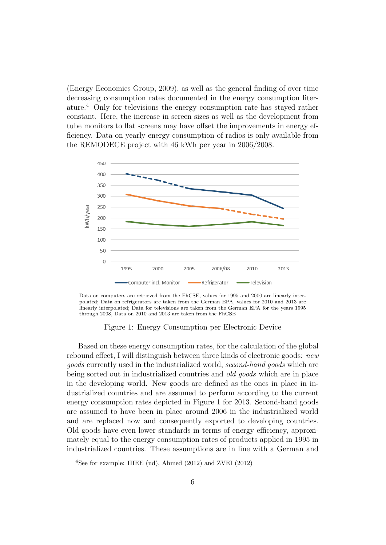(Energy Economics Group, 2009), as well as the general finding of over time decreasing consumption rates documented in the energy consumption literature.<sup>4</sup> Only for televisions the energy consumption rate has stayed rather constant. Here, the increase in screen sizes as well as the development from tube monitors to flat screens may have offset the improvements in energy efficiency. Data on yearly energy consumption of radios is only available from the REMODECE project with 46 kWh per year in 2006/2008.



Data on computers are retrieved from the FhCSE, values for 1995 and 2000 are linearly interpolated; Data on refrigerators are taken from the German EPA, values for 2010 and 2013 are linearly interpolated; Data for televisions are taken from the German EPA for the years 1995 through 2008, Data on 2010 and 2013 are taken from the FhCSE

### Figure 1: Energy Consumption per Electronic Device

Based on these energy consumption rates, for the calculation of the global rebound effect, I will distinguish between three kinds of electronic goods: new goods currently used in the industrialized world, second-hand goods which are being sorted out in industrialized countries and old goods which are in place in the developing world. New goods are defined as the ones in place in industrialized countries and are assumed to perform according to the current energy consumption rates depicted in Figure 1 for 2013. Second-hand goods are assumed to have been in place around 2006 in the industrialized world and are replaced now and consequently exported to developing countries. Old goods have even lower standards in terms of energy efficiency, approximately equal to the energy consumption rates of products applied in 1995 in industrialized countries. These assumptions are in line with a German and

<sup>4</sup>See for example: IIIEE (nd), Ahmed (2012) and ZVEI (2012)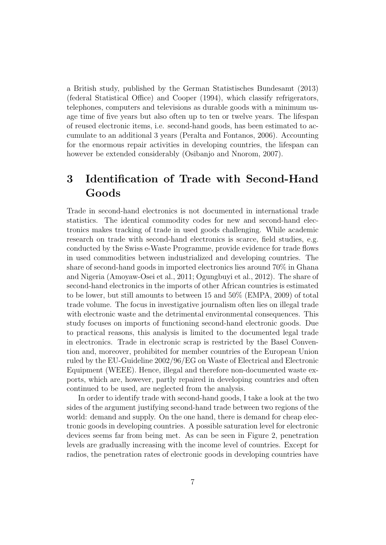a British study, published by the German Statistisches Bundesamt (2013) (federal Statistical Office) and Cooper (1994), which classify refrigerators, telephones, computers and televisions as durable goods with a minimum usage time of five years but also often up to ten or twelve years. The lifespan of reused electronic items, i.e. second-hand goods, has been estimated to accumulate to an additional 3 years (Peralta and Fontanos, 2006). Accounting for the enormous repair activities in developing countries, the lifespan can however be extended considerably (Osibanjo and Nnorom, 2007).

## 3 Identification of Trade with Second-Hand Goods

Trade in second-hand electronics is not documented in international trade statistics. The identical commodity codes for new and second-hand electronics makes tracking of trade in used goods challenging. While academic research on trade with second-hand electronics is scarce, field studies, e.g. conducted by the Swiss e-Waste Programme, provide evidence for trade flows in used commodities between industrialized and developing countries. The share of second-hand goods in imported electronics lies around 70% in Ghana and Nigeria (Amoyaw-Osei et al., 2011; Ogungbuyi et al., 2012). The share of second-hand electronics in the imports of other African countries is estimated to be lower, but still amounts to between 15 and 50% (EMPA, 2009) of total trade volume. The focus in investigative journalism often lies on illegal trade with electronic waste and the detrimental environmental consequences. This study focuses on imports of functioning second-hand electronic goods. Due to practical reasons, this analysis is limited to the documented legal trade in electronics. Trade in electronic scrap is restricted by the Basel Convention and, moreover, prohibited for member countries of the European Union ruled by the EU-Guideline 2002/96/EG on Waste of Electrical and Electronic Equipment (WEEE). Hence, illegal and therefore non-documented waste exports, which are, however, partly repaired in developing countries and often continued to be used, are neglected from the analysis.

In order to identify trade with second-hand goods, I take a look at the two sides of the argument justifying second-hand trade between two regions of the world: demand and supply. On the one hand, there is demand for cheap electronic goods in developing countries. A possible saturation level for electronic devices seems far from being met. As can be seen in Figure 2, penetration levels are gradually increasing with the income level of countries. Except for radios, the penetration rates of electronic goods in developing countries have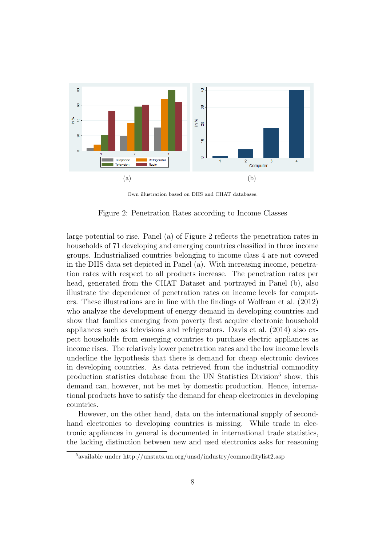

Own illustration based on DHS and CHAT databases.

Figure 2: Penetration Rates according to Income Classes

large potential to rise. Panel (a) of Figure 2 reflects the penetration rates in households of 71 developing and emerging countries classified in three income groups. Industrialized countries belonging to income class 4 are not covered in the DHS data set depicted in Panel (a). With increasing income, penetration rates with respect to all products increase. The penetration rates per head, generated from the CHAT Dataset and portrayed in Panel (b), also illustrate the dependence of penetration rates on income levels for computers. These illustrations are in line with the findings of Wolfram et al. (2012) who analyze the development of energy demand in developing countries and show that families emerging from poverty first acquire electronic household appliances such as televisions and refrigerators. Davis et al. (2014) also expect households from emerging countries to purchase electric appliances as income rises. The relatively lower penetration rates and the low income levels underline the hypothesis that there is demand for cheap electronic devices in developing countries. As data retrieved from the industrial commodity production statistics database from the UN Statistics Division<sup>5</sup> show, this demand can, however, not be met by domestic production. Hence, international products have to satisfy the demand for cheap electronics in developing countries.

However, on the other hand, data on the international supply of secondhand electronics to developing countries is missing. While trade in electronic appliances in general is documented in international trade statistics, the lacking distinction between new and used electronics asks for reasoning

<sup>5</sup>available under http://unstats.un.org/unsd/industry/commoditylist2.asp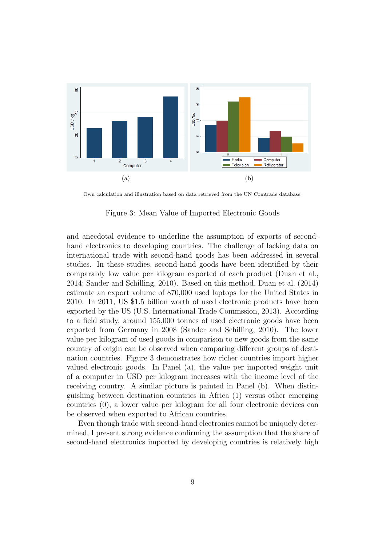

Own calculation and illustration based on data retrieved from the UN Comtrade database.

Figure 3: Mean Value of Imported Electronic Goods

and anecdotal evidence to underline the assumption of exports of secondhand electronics to developing countries. The challenge of lacking data on international trade with second-hand goods has been addressed in several studies. In these studies, second-hand goods have been identified by their comparably low value per kilogram exported of each product (Duan et al., 2014; Sander and Schilling, 2010). Based on this method, Duan et al. (2014) estimate an export volume of 870,000 used laptops for the United States in 2010. In 2011, US \$1.5 billion worth of used electronic products have been exported by the US (U.S. International Trade Commssion, 2013). According to a field study, around 155,000 tonnes of used electronic goods have been exported from Germany in 2008 (Sander and Schilling, 2010). The lower value per kilogram of used goods in comparison to new goods from the same country of origin can be observed when comparing different groups of destination countries. Figure 3 demonstrates how richer countries import higher valued electronic goods. In Panel (a), the value per imported weight unit of a computer in USD per kilogram increases with the income level of the receiving country. A similar picture is painted in Panel (b). When distinguishing between destination countries in Africa (1) versus other emerging countries (0), a lower value per kilogram for all four electronic devices can be observed when exported to African countries.

Even though trade with second-hand electronics cannot be uniquely determined, I present strong evidence confirming the assumption that the share of second-hand electronics imported by developing countries is relatively high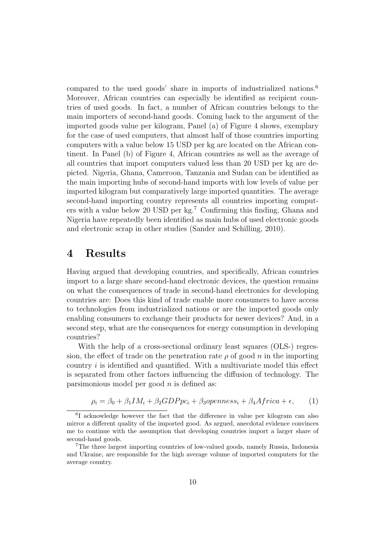compared to the used goods' share in imports of industrialized nations.<sup>6</sup> Moreover, African countries can especially be identified as recipient countries of used goods. In fact, a number of African countries belongs to the main importers of second-hand goods. Coming back to the argument of the imported goods value per kilogram, Panel (a) of Figure 4 shows, exemplary for the case of used computers, that almost half of those countries importing computers with a value below 15 USD per kg are located on the African continent. In Panel (b) of Figure 4, African countries as well as the average of all countries that import computers valued less than 20 USD per kg are depicted. Nigeria, Ghana, Cameroon, Tanzania and Sudan can be identified as the main importing hubs of second-hand imports with low levels of value per imported kilogram but comparatively large imported quantities. The average second-hand importing country represents all countries importing computers with a value below 20 USD per kg.<sup>7</sup> Confirming this finding, Ghana and Nigeria have repeatedly been identified as main hubs of used electronic goods and electronic scrap in other studies (Sander and Schilling, 2010).

## 4 Results

Having argued that developing countries, and specifically, African countries import to a large share second-hand electronic devices, the question remains on what the consequences of trade in second-hand electronics for developing countries are: Does this kind of trade enable more consumers to have access to technologies from industrialized nations or are the imported goods only enabling consumers to exchange their products for newer devices? And, in a second step, what are the consequences for energy consumption in developing countries?

With the help of a cross-sectional ordinary least squares (OLS-) regression, the effect of trade on the penetration rate  $\rho$  of good n in the importing country  $i$  is identified and quantified. With a multivariate model this effect is separated from other factors influencing the diffusion of technology. The parsimonious model per good  $n$  is defined as:

$$
\rho_i = \beta_0 + \beta_1 IM_i + \beta_2 GDPpc_i + \beta_3 openness_i + \beta_4 Africa + \epsilon,
$$
 (1)

<sup>&</sup>lt;sup>6</sup>I acknowledge however the fact that the difference in value per kilogram can also mirror a different quality of the imported good. As argued, anecdotal evidence convinces me to continue with the assumption that developing countries import a larger share of second-hand goods.

<sup>7</sup>The three largest importing countries of low-valued goods, namely Russia, Indonesia and Ukraine, are responsible for the high average volume of imported computers for the average country.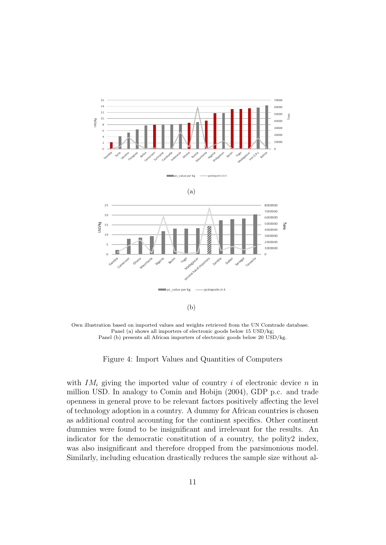

Own illustration based on imported values and weights retrieved from the UN Comtrade database. Panel (a) shows all importers of electronic goods below 15 USD/kg; Panel (b) presents all African importers of electronic goods below 20 USD/kg.

Figure 4: Import Values and Quantities of Computers

with  $IM_i$  giving the imported value of country i of electronic device n in million USD. In analogy to Comin and Hobijn (2004), GDP p.c. and trade openness in general prove to be relevant factors positively affecting the level of technology adoption in a country. A dummy for African countries is chosen as additional control accounting for the continent specifics. Other continent dummies were found to be insignificant and irrelevant for the results. An indicator for the democratic constitution of a country, the polity2 index, was also insignificant and therefore dropped from the parsimonious model. Similarly, including education drastically reduces the sample size without al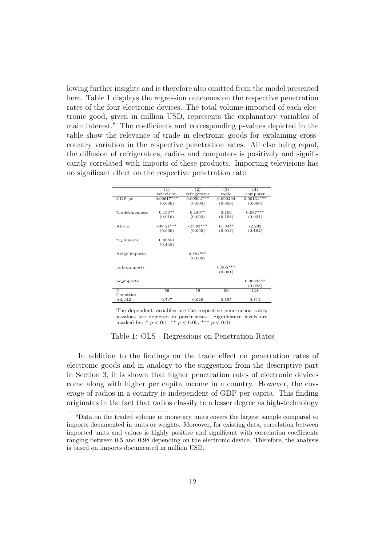lowing further insights and is therefore also omitted from the model presented here. Table 1 displays the regression outcomes on the respective penetration rates of the four electronic devices. The total volume imported of each electronic good, given in million USD, represents the explanatory variables of main interest.<sup>8</sup> The coefficients and corresponding p-values depicted in the table show the relevance of trade in electronic goods for explaining crosscountry variation in the respective penetration rates. All else being equal, the diffusion of refrigerators, radios and computers is positively and significantly correlated with imports of these products. Importing televisions has no significant effect on the respective penetration rate.

|                | (1)          | (2)          | (3)        | (4)          |
|----------------|--------------|--------------|------------|--------------|
|                | television   | refrigerator | radio      | computer     |
| $GDP-PC$       | $0.00617***$ | $0.00594***$ | 0.000204   | $0.00131***$ |
|                | (0.000)      | (0.000)      | (0.859)    | (0.000)      |
|                |              |              |            |              |
| TradeOpenness  | $0.153**$    | $0.180**$    | 0.109      | $0.0377**$   |
|                | (0.016)      | (0.020)      | (0.108)    | (0.021)      |
|                |              |              |            |              |
| Africa         | $-39.51***$  | $-27.93***$  | $11.04**$  | $-2.292$     |
|                | (0.000)      | (0.000)      | (0.013)    | (0.182)      |
|                |              |              |            |              |
| tv_imports     | 0.00851      |              |            |              |
|                | (0.145)      |              |            |              |
|                |              |              |            |              |
| fridge_imports |              | $0.184***$   |            |              |
|                |              | (0.006)      |            |              |
|                |              |              |            |              |
| radio_imports  |              |              | $0.305***$ |              |
|                |              |              | (0.001)    |              |
|                |              |              |            | $0.00035**$  |
| pc_imports     |              |              |            |              |
|                |              |              |            | (0.028)      |
| N              | 59           | 59           | 59         | 118          |
| Countries      |              |              |            |              |
| Adj.R2         | 0.747        | 0.626        | 0.195      | 0.812        |

The dependent variables are the respective penetration rates; p-values are depicted in parentheses. Significance levels are marked by: \*  $p < 0.1$ , \*\*  $p < 0.05$ , \*\*\*  $p < 0.01$ 

Table 1: OLS - Regressions on Penetration Rates

In addition to the findings on the trade effect on penetration rates of electronic goods and in analogy to the suggestion from the descriptive part in Section 3, it is shown that higher penetration rates of electronic devices come along with higher per capita income in a country. However, the coverage of radios in a country is independent of GDP per capita. This finding originates in the fact that radios classify to a lesser degree as high-technology

<sup>8</sup>Data on the traded volume in monetary units covers the largest sample compared to imports documented in units or weights. Moreover, for existing data, correlation between imported units and values is highly positive and significant with correlation coefficients ranging between 0.5 and 0.98 depending on the electronic device. Therefore, the analysis is based on imports documented in million USD.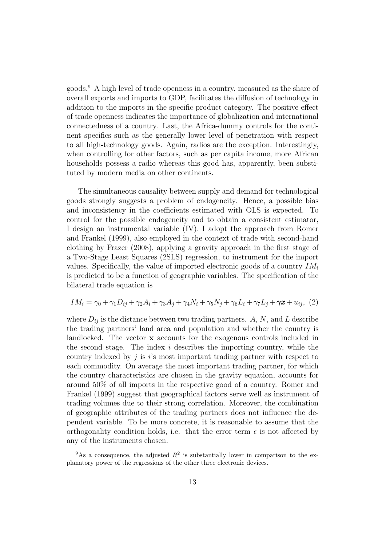goods.<sup>9</sup> A high level of trade openness in a country, measured as the share of overall exports and imports to GDP, facilitates the diffusion of technology in addition to the imports in the specific product category. The positive effect of trade openness indicates the importance of globalization and international connectedness of a country. Last, the Africa-dummy controls for the continent specifics such as the generally lower level of penetration with respect to all high-technology goods. Again, radios are the exception. Interestingly, when controlling for other factors, such as per capita income, more African households possess a radio whereas this good has, apparently, been substituted by modern media on other continents.

The simultaneous causality between supply and demand for technological goods strongly suggests a problem of endogeneity. Hence, a possible bias and inconsistency in the coefficients estimated with OLS is expected. To control for the possible endogeneity and to obtain a consistent estimator, I design an instrumental variable (IV). I adopt the approach from Romer and Frankel (1999), also employed in the context of trade with second-hand clothing by Frazer (2008), applying a gravity approach in the first stage of a Two-Stage Least Squares (2SLS) regression, to instrument for the import values. Specifically, the value of imported electronic goods of a country  $IM_i$ is predicted to be a function of geographic variables. The specification of the bilateral trade equation is

$$
IM_i = \gamma_0 + \gamma_1 D_{ij} + \gamma_2 A_i + \gamma_3 A_j + \gamma_4 N_i + \gamma_5 N_j + \gamma_6 L_i + \gamma_7 L_j + \gamma x + u_{ij}, \tag{2}
$$

where  $D_{ij}$  is the distance between two trading partners. A, N, and L describe the trading partners' land area and population and whether the country is landlocked. The vector x accounts for the exogenous controls included in the second stage. The index  $i$  describes the importing country, while the country indexed by  $j$  is  $i$ 's most important trading partner with respect to each commodity. On average the most important trading partner, for which the country characteristics are chosen in the gravity equation, accounts for around 50% of all imports in the respective good of a country. Romer and Frankel (1999) suggest that geographical factors serve well as instrument of trading volumes due to their strong correlation. Moreover, the combination of geographic attributes of the trading partners does not influence the dependent variable. To be more concrete, it is reasonable to assume that the orthogonality condition holds, i.e. that the error term  $\epsilon$  is not affected by any of the instruments chosen.

<sup>&</sup>lt;sup>9</sup>As a consequence, the adjusted  $R^2$  is substantially lower in comparison to the explanatory power of the regressions of the other three electronic devices.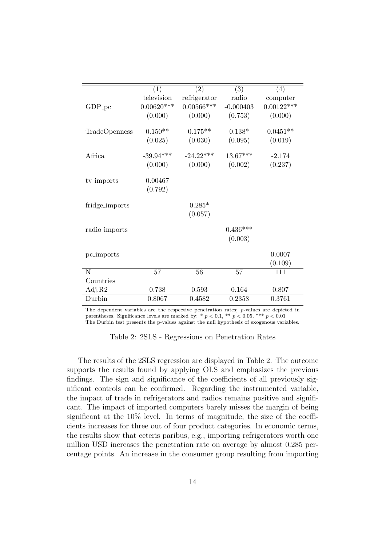| (4)<br>computer<br>$0.00122***$<br>(0.000)<br>$0.0451**$ |
|----------------------------------------------------------|
|                                                          |
|                                                          |
|                                                          |
|                                                          |
|                                                          |
|                                                          |
| (0.019)                                                  |
| $-2.174$                                                 |
| (0.237)                                                  |
|                                                          |
|                                                          |
|                                                          |
|                                                          |
|                                                          |
|                                                          |
|                                                          |
|                                                          |
|                                                          |
| 0.0007                                                   |
| (0.109)                                                  |
| 111                                                      |
|                                                          |
| 0.807                                                    |
| 0.3761                                                   |
|                                                          |

The dependent variables are the respective penetration rates; p-values are depicted in parentheses. Significance levels are marked by: \*  $p < 0.1$ , \*\*  $p < 0.05$ , \*\*\*  $p < 0.01$ The Durbin test presents the p-values against the null hypothesis of exogenous variables.

Table 2: 2SLS - Regressions on Penetration Rates

The results of the 2SLS regression are displayed in Table 2. The outcome supports the results found by applying OLS and emphasizes the previous findings. The sign and significance of the coefficients of all previously significant controls can be confirmed. Regarding the instrumented variable, the impact of trade in refrigerators and radios remains positive and significant. The impact of imported computers barely misses the margin of being significant at the 10% level. In terms of magnitude, the size of the coefficients increases for three out of four product categories. In economic terms, the results show that ceteris paribus, e.g., importing refrigerators worth one million USD increases the penetration rate on average by almost 0.285 percentage points. An increase in the consumer group resulting from importing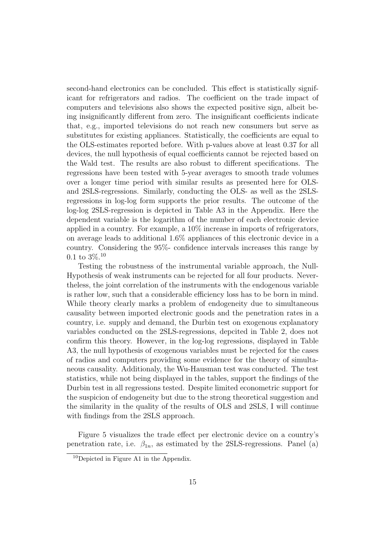second-hand electronics can be concluded. This effect is statistically significant for refrigerators and radios. The coefficient on the trade impact of computers and televisions also shows the expected positive sign, albeit being insignificantly different from zero. The insignificant coefficients indicate that, e.g., imported televisions do not reach new consumers but serve as substitutes for existing appliances. Statistically, the coefficients are equal to the OLS-estimates reported before. With p-values above at least 0.37 for all devices, the null hypothesis of equal coefficients cannot be rejected based on the Wald test. The results are also robust to different specifications. The regressions have been tested with 5-year averages to smooth trade volumes over a longer time period with similar results as presented here for OLSand 2SLS-regressions. Similarly, conducting the OLS- as well as the 2SLSregressions in log-log form supports the prior results. The outcome of the log-log 2SLS-regression is depicted in Table A3 in the Appendix. Here the dependent variable is the logarithm of the number of each electronic device applied in a country. For example, a 10% increase in imports of refrigerators, on average leads to additional 1.6% appliances of this electronic device in a country. Considering the 95%- confidence intervals increases this range by  $0.1 \text{ to } 3\%$ <sup>10</sup>

Testing the robustness of the instrumental variable approach, the Null-Hypothesis of weak instruments can be rejected for all four products. Nevertheless, the joint correlation of the instruments with the endogenous variable is rather low, such that a considerable efficiency loss has to be born in mind. While theory clearly marks a problem of endogeneity due to simultaneous causality between imported electronic goods and the penetration rates in a country, i.e. supply and demand, the Durbin test on exogenous explanatory variables conducted on the 2SLS-regressions, depcited in Table 2, does not confirm this theory. However, in the log-log regressions, displayed in Table A3, the null hypothesis of exogenous variables must be rejected for the cases of radios and computers providing some evidence for the theory of simultaneous causality. Additionaly, the Wu-Hausman test was conducted. The test statistics, while not being displayed in the tables, support the findings of the Durbin test in all regressions tested. Despite limited econometric support for the suspicion of endogeneity but due to the strong theoretical suggestion and the similarity in the quality of the results of OLS and 2SLS, I will continue with findings from the 2SLS approach.

Figure 5 visualizes the trade effect per electronic device on a country's penetration rate, i.e.  $\beta_{1n}$ , as estimated by the 2SLS-regressions. Panel (a)

 $10$ Depicted in Figure A1 in the Appendix.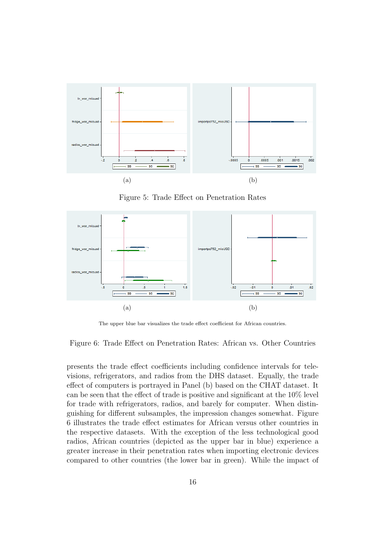

Figure 5: Trade Effect on Penetration Rates



The upper blue bar visualizes the trade effect coefficient for African countries.

Figure 6: Trade Effect on Penetration Rates: African vs. Other Countries

presents the trade effect coefficients including confidence intervals for televisions, refrigerators, and radios from the DHS dataset. Equally, the trade effect of computers is portrayed in Panel (b) based on the CHAT dataset. It can be seen that the effect of trade is positive and significant at the 10% level for trade with refrigerators, radios, and barely for computer. When distinguishing for different subsamples, the impression changes somewhat. Figure 6 illustrates the trade effect estimates for African versus other countries in the respective datasets. With the exception of the less technological good radios, African countries (depicted as the upper bar in blue) experience a greater increase in their penetration rates when importing electronic devices compared to other countries (the lower bar in green). While the impact of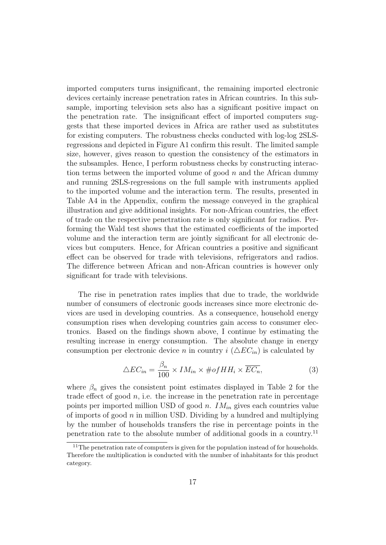imported computers turns insignificant, the remaining imported electronic devices certainly increase penetration rates in African countries. In this subsample, importing television sets also has a significant positive impact on the penetration rate. The insignificant effect of imported computers suggests that these imported devices in Africa are rather used as substitutes for existing computers. The robustness checks conducted with log-log 2SLSregressions and depicted in Figure A1 confirm this result. The limited sample size, however, gives reason to question the consistency of the estimators in the subsamples. Hence, I perform robustness checks by constructing interaction terms between the imported volume of good  $n$  and the African dummy and running 2SLS-regressions on the full sample with instruments applied to the imported volume and the interaction term. The results, presented in Table A4 in the Appendix, confirm the message conveyed in the graphical illustration and give additional insights. For non-African countries, the effect of trade on the respective penetration rate is only significant for radios. Performing the Wald test shows that the estimated coefficients of the imported volume and the interaction term are jointly significant for all electronic devices but computers. Hence, for African countries a positive and significant effect can be observed for trade with televisions, refrigerators and radios. The difference between African and non-African countries is however only significant for trade with televisions.

The rise in penetration rates implies that due to trade, the worldwide number of consumers of electronic goods increases since more electronic devices are used in developing countries. As a consequence, household energy consumption rises when developing countries gain access to consumer electronics. Based on the findings shown above, I continue by estimating the resulting increase in energy consumption. The absolute change in energy consumption per electronic device n in country  $i (\Delta EC_{in})$  is calculated by

$$
\triangle EC_{in} = \frac{\beta_n}{100} \times IM_{in} \times \# of HH_i \times \overline{EC_n},\tag{3}
$$

where  $\beta_n$  gives the consistent point estimates displayed in Table 2 for the trade effect of good  $n$ , i.e. the increase in the penetration rate in percentage points per imported million USD of good *n.*  $IM_{in}$  gives each countries value of imports of good  $n$  in million USD. Dividing by a hundred and multiplying by the number of households transfers the rise in percentage points in the penetration rate to the absolute number of additional goods in a country.<sup>11</sup>

<sup>&</sup>lt;sup>11</sup>The penetration rate of computers is given for the population instead of for households. Therefore the multiplication is conducted with the number of inhabitants for this product category.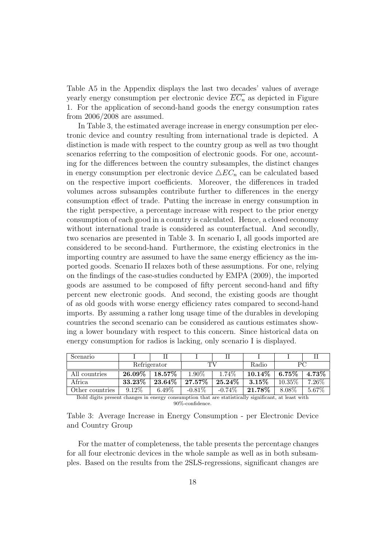Table A5 in the Appendix displays the last two decades' values of average yearly energy consumption per electronic device  $\overline{EC_n}$  as depicted in Figure 1. For the application of second-hand goods the energy consumption rates from 2006/2008 are assumed.

In Table 3, the estimated average increase in energy consumption per electronic device and country resulting from international trade is depicted. A distinction is made with respect to the country group as well as two thought scenarios referring to the composition of electronic goods. For one, accounting for the differences between the country subsamples, the distinct changes in energy consumption per electronic device  $\triangle EC_n$  can be calculated based on the respective import coefficients. Moreover, the differences in traded volumes across subsamples contribute further to differences in the energy consumption effect of trade. Putting the increase in energy consumption in the right perspective, a percentage increase with respect to the prior energy consumption of each good in a country is calculated. Hence, a closed economy without international trade is considered as counterfactual. And secondly, two scenarios are presented in Table 3. In scenario I, all goods imported are considered to be second-hand. Furthermore, the existing electronics in the importing country are assumed to have the same energy efficiency as the imported goods. Scenario II relaxes both of these assumptions. For one, relying on the findings of the case-studies conducted by EMPA (2009), the imported goods are assumed to be composed of fifty percent second-hand and fifty percent new electronic goods. And second, the existing goods are thought of as old goods with worse energy efficiency rates compared to second-hand imports. By assuming a rather long usage time of the durables in developing countries the second scenario can be considered as cautious estimates showing a lower boundary with respect to this concern. Since historical data on energy consumption for radios is lacking, only scenario I is displayed.

| Scenario        |              |           |           |           |           |           |       |
|-----------------|--------------|-----------|-----------|-----------|-----------|-----------|-------|
|                 | Refrigerator |           |           |           | Radio     | ΡC        |       |
| All countries   | $26.09\%$    | $18.57\%$ | 1.90\%    | 1.74\%    | $10.14\%$ | $6.75\%$  | 4.73% |
| Africa          | 33.23%       | $23.64\%$ | $27.57\%$ | $25.24\%$ | $3.15\%$  | $10.35\%$ | 7.26% |
| Other countries | $9.12\%$     | $6.49\%$  | $-0.81\%$ | $-0.74\%$ | 21.78\%   | 8.08%     | 5.67% |

Bold digits present changes in energy consumption that are statistically significant, at least with 90%-confidence.

|                   |  | Table 3: Average Increase in Energy Consumption - per Electronic Device |  |  |
|-------------------|--|-------------------------------------------------------------------------|--|--|
| and Country Group |  |                                                                         |  |  |

For the matter of completeness, the table presents the percentage changes for all four electronic devices in the whole sample as well as in both subsamples. Based on the results from the 2SLS-regressions, significant changes are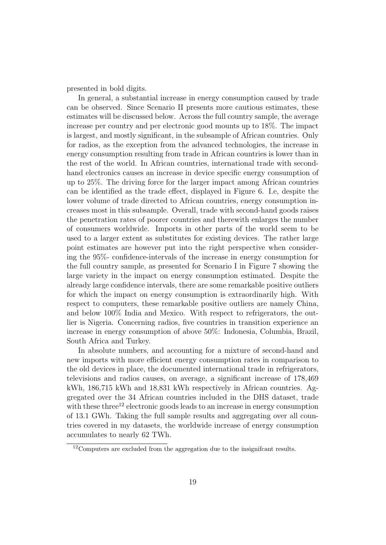presented in bold digits.

In general, a substantial increase in energy consumption caused by trade can be observed. Since Scenario II presents more cautious estimates, these estimates will be discussed below. Across the full country sample, the average increase per country and per electronic good mounts up to 18%. The impact is largest, and mostly significant, in the subsample of African countries. Only for radios, as the exception from the advanced technologies, the increase in energy consumption resulting from trade in African countries is lower than in the rest of the world. In African countries, international trade with secondhand electronics causes an increase in device specific energy consumption of up to 25%. The driving force for the larger impact among African countries can be identified as the trade effect, displayed in Figure 6. I.e, despite the lower volume of trade directed to African countries, energy consumption increases most in this subsample. Overall, trade with second-hand goods raises the penetration rates of poorer countries and therewith enlarges the number of consumers worldwide. Imports in other parts of the world seem to be used to a larger extent as substitutes for existing devices. The rather large point estimates are however put into the right perspective when considering the 95%- confidence-intervals of the increase in energy consumption for the full country sample, as presented for Scenario I in Figure 7 showing the large variety in the impact on energy consumption estimated. Despite the already large confidence intervals, there are some remarkable positive outliers for which the impact on energy consumption is extraordinarily high. With respect to computers, these remarkable positive outliers are namely China, and below 100% India and Mexico. With respect to refrigerators, the outlier is Nigeria. Concerning radios, five countries in transition experience an increase in energy consumption of above 50%: Indonesia, Columbia, Brazil, South Africa and Turkey.

In absolute numbers, and accounting for a mixture of second-hand and new imports with more efficient energy consumption rates in comparison to the old devices in place, the documented international trade in refrigerators, televisions and radios causes, on average, a significant increase of 178,469 kWh, 186,715 kWh and 18,831 kWh respectively in African countries. Aggregated over the 34 African countries included in the DHS dataset, trade with these three<sup>12</sup> electronic goods leads to an increase in energy consumption of 13.1 GWh. Taking the full sample results and aggregating over all countries covered in my datasets, the worldwide increase of energy consumption accumulates to nearly 62 TWh.

<sup>12</sup>Computers are excluded from the aggregation due to the insignifcant results.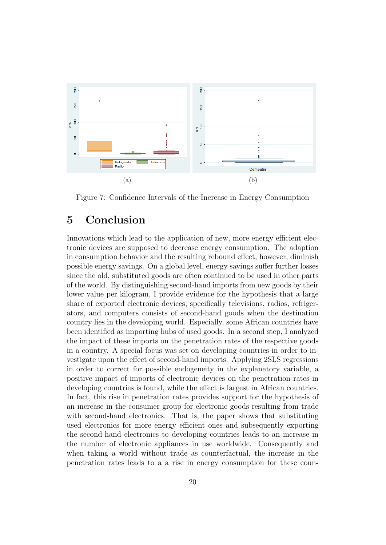

Figure 7: Confidence Intervals of the Increase in Energy Consumption

## 5 Conclusion

Innovations which lead to the application of new, more energy efficient electronic devices are supposed to decrease energy consumption. The adaption in consumption behavior and the resulting rebound effect, however, diminish possible energy savings. On a global level, energy savings suffer further losses since the old, substituted goods are often continued to be used in other parts of the world. By distinguishing second-hand imports from new goods by their lower value per kilogram, I provide evidence for the hypothesis that a large share of exported electronic devices, specifically televisions, radios, refrigerators, and computers consists of second-hand goods when the destination country lies in the developing world. Especially, some African countries have been identified as importing hubs of used goods. In a second step, I analyzed the impact of these imports on the penetration rates of the respective goods in a country. A special focus was set on developing countries in order to investigate upon the effect of second-hand imports. Applying 2SLS regressions in order to correct for possible endogeneity in the explanatory variable, a positive impact of imports of electronic devices on the penetration rates in developing countries is found, while the effect is largest in African countries. In fact, this rise in penetration rates provides support for the hypothesis of an increase in the consumer group for electronic goods resulting from trade with second-hand electronics. That is, the paper shows that substituting used electronics for more energy efficient ones and subsequently exporting the second-hand electronics to developing countries leads to an increase in the number of electronic appliances in use worldwide. Consequently and when taking a world without trade as counterfactual, the increase in the penetration rates leads to a a rise in energy consumption for these coun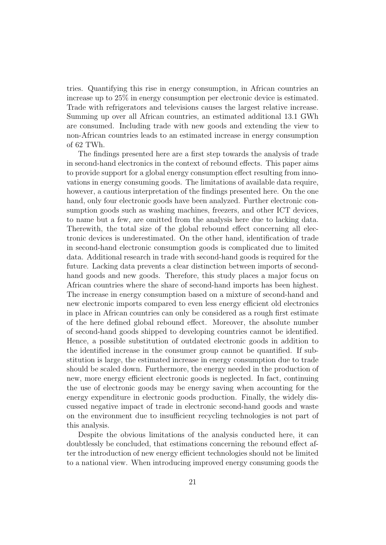tries. Quantifying this rise in energy consumption, in African countries an increase up to 25% in energy consumption per electronic device is estimated. Trade with refrigerators and televisions causes the largest relative increase. Summing up over all African countries, an estimated additional 13.1 GWh are consumed. Including trade with new goods and extending the view to non-African countries leads to an estimated increase in energy consumption of 62 TWh.

The findings presented here are a first step towards the analysis of trade in second-hand electronics in the context of rebound effects. This paper aims to provide support for a global energy consumption effect resulting from innovations in energy consuming goods. The limitations of available data require, however, a cautious interpretation of the findings presented here. On the one hand, only four electronic goods have been analyzed. Further electronic consumption goods such as washing machines, freezers, and other ICT devices, to name but a few, are omitted from the analysis here due to lacking data. Therewith, the total size of the global rebound effect concerning all electronic devices is underestimated. On the other hand, identification of trade in second-hand electronic consumption goods is complicated due to limited data. Additional research in trade with second-hand goods is required for the future. Lacking data prevents a clear distinction between imports of secondhand goods and new goods. Therefore, this study places a major focus on African countries where the share of second-hand imports has been highest. The increase in energy consumption based on a mixture of second-hand and new electronic imports compared to even less energy efficient old electronics in place in African countries can only be considered as a rough first estimate of the here defined global rebound effect. Moreover, the absolute number of second-hand goods shipped to developing countries cannot be identified. Hence, a possible substitution of outdated electronic goods in addition to the identified increase in the consumer group cannot be quantified. If substitution is large, the estimated increase in energy consumption due to trade should be scaled down. Furthermore, the energy needed in the production of new, more energy efficient electronic goods is neglected. In fact, continuing the use of electronic goods may be energy saving when accounting for the energy expenditure in electronic goods production. Finally, the widely discussed negative impact of trade in electronic second-hand goods and waste on the environment due to insufficient recycling technologies is not part of this analysis.

Despite the obvious limitations of the analysis conducted here, it can doubtlessly be concluded, that estimations concerning the rebound effect after the introduction of new energy efficient technologies should not be limited to a national view. When introducing improved energy consuming goods the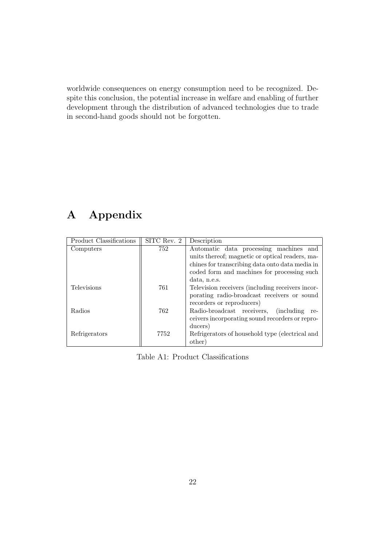worldwide consequences on energy consumption need to be recognized. Despite this conclusion, the potential increase in welfare and enabling of further development through the distribution of advanced technologies due to trade in second-hand goods should not be forgotten.

# A Appendix

| Product Classifications | SITC Rev. 2 | Description                                             |  |  |  |  |  |
|-------------------------|-------------|---------------------------------------------------------|--|--|--|--|--|
| Computers               | 752         | Automatic data processing machines and                  |  |  |  |  |  |
|                         |             | units thereof; magnetic or optical readers, ma-         |  |  |  |  |  |
|                         |             | chines for transcribing data onto data media in         |  |  |  |  |  |
|                         |             | coded form and machines for processing such             |  |  |  |  |  |
|                         |             | data, n.e.s.                                            |  |  |  |  |  |
| Televisions             | 761         | Television receivers (including receivers incor-        |  |  |  |  |  |
|                         |             | porating radio-broadcast receivers or sound             |  |  |  |  |  |
|                         |             | recorders or reproducers)                               |  |  |  |  |  |
| Radios                  | 762         | Radio-broadcast receivers,<br><i>(including)</i><br>re- |  |  |  |  |  |
|                         |             | ceivers incorporating sound recorders or repro-         |  |  |  |  |  |
|                         |             | ducers)                                                 |  |  |  |  |  |
| Refrigerators           | 7752        | Refrigerators of household type (electrical and         |  |  |  |  |  |
|                         |             | other)                                                  |  |  |  |  |  |

Table A1: Product Classifications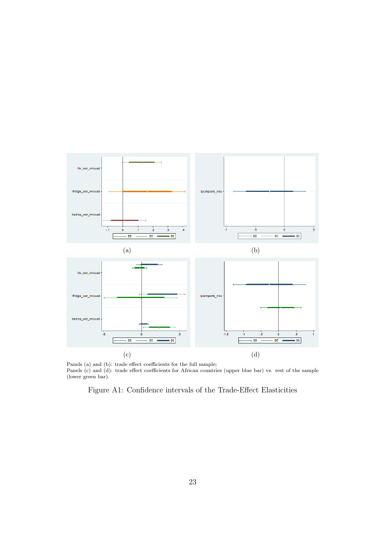

Panels (a) and (b): trade effect coefficients for the full sample; Panels (c) and (d): trade effect coefficients for African countries (upper blue bar) vs. rest of the sample (lower green bar).

Figure A1: Confidence intervals of the Trade-Effect Elasticities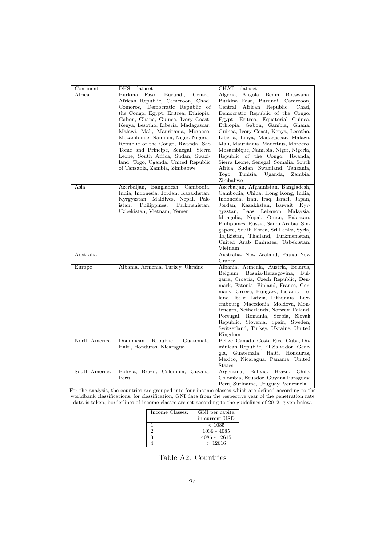| Continent     | DHS - dataset                           | CHAT - dataset                              |
|---------------|-----------------------------------------|---------------------------------------------|
|               |                                         |                                             |
| Africa        | Burkina Faso,<br>Burundi,<br>Central    | Algeria, Angola,<br>Benin, Botswana,        |
|               | African Republic, Cameroon, Chad,       | Burkina Faso, Burundi, Cameroon,            |
|               | Comoros, Democratic Republic of         | Central<br>African<br>Republic,<br>Chad,    |
|               | the Congo, Egypt, Eritrea, Ethiopia,    | Democratic Republic of the Congo,           |
|               | Gabon, Ghana, Guinea, Ivory Coast,      | Egypt, Eritrea, Equatorial Guinea,          |
|               | Kenya, Lesotho, Liberia, Madagascar,    | Ethiopia, Gabon, Gambia, Ghana,             |
|               | Malawi, Mali, Mauritania, Morocco,      | Guinea, Ivory Coast, Kenya, Lesotho,        |
|               | Mozambique, Namibia, Niger, Nigeria,    | Liberia, Libya, Madagascar, Malawi,         |
|               | Republic of the Congo, Rwanda, Sao      | Mali, Mauritania, Mauritius, Morocco,       |
|               | Tome and Principe, Senegal, Sierra      | Mozambique, Namibia, Niger, Nigeria,        |
|               | Leone, South Africa, Sudan, Swazi-      | Republic of the Congo, Rwanda,              |
|               | land, Togo, Uganda, United Republic     | Sierra Leone, Senegal, Somalia, South       |
|               | of Tanzania, Zambia, Zimbabwe           | Africa, Sudan, Swaziland, Tanzania,         |
|               |                                         | Togo,<br>Tunisia, Uganda,<br>Zambia,        |
|               |                                         | Zimbabwe                                    |
| Asia          | Azerbaijan, Bangladesh, Cambodia,       | Azerbaijan, Afghanistan, Bangladesh,        |
|               | India, Indonesia, Jordan, Kazakhstan,   | Cambodia, China, Hong Kong, India,          |
|               | Kyrgyzstan, Maldives, Nepal, Pak-       | Indonesia, Iran, Iraq, Israel, Japan,       |
|               | Turkmenistan,<br>istan,<br>Philippines, | Jordan, Kazakhstan, Kuwait, Kyr-            |
|               | Uzbekistan, Vietnam, Yemen              | gyzstan, Laos, Lebanon, Malaysia,           |
|               |                                         | Mongolia, Nepal, Oman, Pakistan,            |
|               |                                         | Philippines, Russia, Saudi Arabia, Sin-     |
|               |                                         | gapore, South Korea, Sri Lanka, Syria,      |
|               |                                         | Tajikistan, Thailand, Turkmenistan,         |
|               |                                         | United Arab Emirates, Uzbekistan,           |
|               |                                         | Vietnam                                     |
| Australia     |                                         | Australia, New Zealand, Papua New           |
|               |                                         | Guinea                                      |
| Europe        | Albania, Armenia, Turkey, Ukraine       | Albania, Armenia, Austria, Belarus,         |
|               |                                         | Belgium, Bosnia-Herzegovina, Bul-           |
|               |                                         | garia, Croatia, Czech Republic, Den-        |
|               |                                         | mark, Estonia, Finland, France, Ger-        |
|               |                                         | many, Greece, Hungary, Iceland, Ire-        |
|               |                                         | land, Italy, Latvia, Lithuania, Lux-        |
|               |                                         | embourg, Macedonia, Moldova, Mon-           |
|               |                                         | tenegro, Netherlands, Norway, Poland,       |
|               |                                         | Portugal, Romania, Serbia, Slovak           |
|               |                                         | Republic, Slovenia, Spain, Sweden,          |
|               |                                         | Switzerland, Turkey, Ukraine, United        |
|               |                                         | Kingdom                                     |
| North America | Dominican<br>Republic,<br>Guatemala,    | Belize, Canada, Costa Rica, Cuba, Do-       |
|               | Haiti, Honduras, Nicaragua              | minican Republic, El Salvador, Geor-        |
|               |                                         | gia, Guatemala, Haiti, Honduras,            |
|               |                                         | Mexico, Nicaragua, Panama, United           |
|               |                                         | <b>States</b>                               |
| South America | Bolivia,<br>Brazil, Colombia, Guyana,   | Brazil,<br>Argentina,<br>Bolivia,<br>Chile, |
|               | Peru                                    | Colombia, Ecuador, Guyana Paraguay,         |
|               |                                         | Peru, Suriname, Uruguay, Venezuela          |

For the analysis, the countries are grouped into four income classes which are defined according to the worldbank classifications; for classification, GNI data from the respective year of the penetration rate data is taken, borderlines of income classes are set according to the guidelines of 2012, given below.

| Income Classes: | GNI per capita<br>in current USD |
|-----------------|----------------------------------|
|                 | < 1035                           |
|                 | 1036 - 4085                      |
| З               | 4086 - 12615                     |
|                 | >12616                           |

Table A2: Countries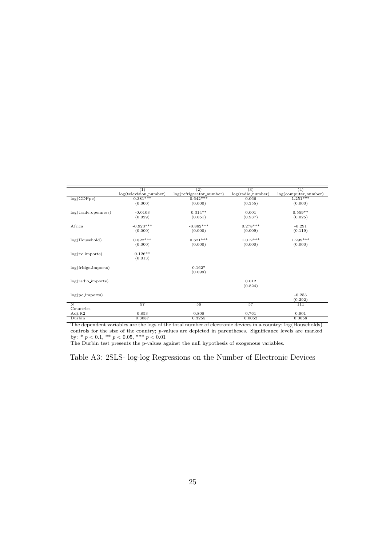|                            | $\left(1\right)$         | $^{(2)}$                 | (3)                 | (4)                    |
|----------------------------|--------------------------|--------------------------|---------------------|------------------------|
|                            | $log(television_number)$ | log(refrigerator_number) | $log(radio_number)$ | $log(computer_number)$ |
| log(GDPpc)                 | $0.381***$               | $0.642***$               | 0.066               | $1.251***$             |
|                            | (0.000)                  | (0.000)                  | (0.355)             | (0.000)                |
| $log(train$ e_openness $)$ | $-0.0103$                | $0.314**$                | 0.001               | $0.559**$              |
|                            |                          |                          |                     |                        |
|                            | (0.029)                  | (0.051)                  | (0.937)             | (0.025)                |
| Africa                     | $-0.923***$              | $-0.862***$              | $0.278***$          | $-0.291$               |
|                            | (0.000)                  | (0.000)                  | (0.009)             | (0.119)                |
| log(Household)             | $0.822***$               | $0.621***$               | $1.012***$          | $1.299***$             |
|                            | (0.000)                  | (0.000)                  | (0.000)             | (0.000)                |
|                            |                          |                          |                     |                        |
| $log(tv\_imports)$         | $0.126**$                |                          |                     |                        |
|                            | (0.013)                  |                          |                     |                        |
|                            |                          |                          |                     |                        |
| $log(fridge\_imports)$     |                          | $0.162*$                 |                     |                        |
|                            |                          | (0.099)                  |                     |                        |
|                            |                          |                          |                     |                        |
| $log(radio\_\$ )           |                          |                          | 0.012               |                        |
|                            |                          |                          | (0.824)             |                        |
|                            |                          |                          |                     |                        |
| $log(pc\text{-}imports)$   |                          |                          |                     | $-0.253$               |
|                            |                          |                          |                     | (0.292)                |
| $\overline{\mathbf{N}}$    | 57                       | 56                       | 57                  | 111                    |
| Countries                  |                          |                          |                     |                        |
| Adj.R2                     | 0.853                    | 0.808                    | 0.761               | 0.901                  |
| Durbin                     | 0.3087                   | 0.3255                   | 0.0052              | 0.0058                 |

The dependent variables are the logs of the total number of electronic devices in a country; log(Households) controls for the size of the country; p-values are depicted in parentheses. Significance levels are marked by: \*  $p < 0.1$ , \*\*  $p < 0.05$ , \*\*\*  $p < 0.01$ 

The Durbin test presents the p-values against the null hypothesis of exogenous variables.

Table A3: 2SLS- log-log Regressions on the Number of Electronic Devices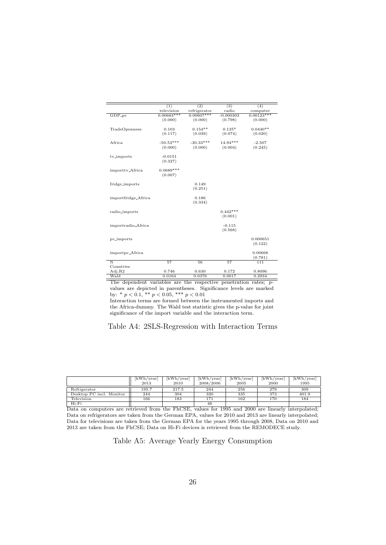|                         | (1)          | (2)          | $\overline{(3)}$ | $\overline{(4)}$ |
|-------------------------|--------------|--------------|------------------|------------------|
|                         | television   | refrigerator | radio            | computer         |
| $GDP-pc$                | $0.00683***$ | $0.00607***$ | $-0.000303$      | $0.00123***$     |
|                         | (0.000)      | (0.000)      | (0.798)          | (0.000)          |
|                         |              |              |                  |                  |
| TradeOpenness           | 0.103        | $0.154**$    | $0.135*$         | $0.0440**$       |
|                         | (0.117)      | (0.039)      | (0.074)          | (0.020)          |
|                         |              |              |                  |                  |
| Africa                  | $-50.53***$  | $-30.33***$  | $14.94***$       | $-2.507$         |
|                         | (0.000)      | (0.000)      | (0.004)          | (0.245)          |
|                         |              |              |                  |                  |
| tv_imports              | $-0.0151$    |              |                  |                  |
|                         | (0.327)      |              |                  |                  |
|                         |              |              |                  |                  |
|                         | $0.0689***$  |              |                  |                  |
| importtv_Africa         | (0.007)      |              |                  |                  |
|                         |              |              |                  |                  |
| fridge_imports          |              | 0.149        |                  |                  |
|                         |              |              |                  |                  |
|                         |              | (0.251)      |                  |                  |
|                         |              | 0.186        |                  |                  |
| importfridge_Africa     |              |              |                  |                  |
|                         |              | (0.334)      |                  |                  |
|                         |              |              |                  |                  |
| radio_imports           |              |              | $0.442***$       |                  |
|                         |              |              | (0.001)          |                  |
|                         |              |              |                  |                  |
| importradio_Africa      |              |              | $-0.115$         |                  |
|                         |              |              | (0.568)          |                  |
|                         |              |              |                  |                  |
| pc_imports              |              |              |                  | 0.000651         |
|                         |              |              |                  | (0.122)          |
|                         |              |              |                  |                  |
| importpc_Africa         |              |              |                  | 0.00668          |
|                         |              |              |                  | (0.781)          |
| $\overline{\mathbf{N}}$ | 57           | 56           | 57               | 111              |
| Countries               |              |              |                  |                  |
| Adj.R2                  | 0.746        | 0.630        | 0.172            | 0.8096           |
| Wald                    | 0.0164       | 0.0376       | 0.0017           | 0.2934           |

The dependent variables are the respective penetration rates; pvalues are depicted in parentheses. Significance levels are marked by: \*  $p < 0.1$ , \*\*  $p < 0.05$ , \*\*\*  $p < 0.01$ 

Interaction terms are formed between the instrumented imports and the Africa-dummy. The Wald test statistic gives the p-value for joint significance of the import variable and the interaction term.

#### Table A4: 2SLS-Regression with Interaction Terms

|                          | [kWh/year]<br>2013 | [kWh/year]<br>2010 | [kWh/year]<br>2008/2006 | [kWh/year]<br>2005 | [kWh/year]<br>2000 | [kWh/year]<br>1995 |
|--------------------------|--------------------|--------------------|-------------------------|--------------------|--------------------|--------------------|
| Refrigerator             | 195.7              | 217.5              | 244                     | 256                | 279                | 309                |
| Desktop PC incl. Monitor | 244                | 304                | 320                     | 335                | 373                | 401.9              |
| Television               | 166                | 183                | 171                     | 162                | 170                | 184                |
| Hi-Fi                    |                    |                    | 46                      |                    |                    |                    |

Hi-Fi 46 Data on computers are retrieved from the FhCSE, values for 1995 and 2000 are linearly interpolated; Data on refrigerators are taken from the German EPA, values for 2010 and 2013 are linearly interpolated; Data for televisions are taken from the German EPA for the years 1995 through 2008, Data on 2010 and 2013 are taken from the FhCSE; Data on Hi-Fi devices is retrieved from the REMODECE study.

Table A5: Average Yearly Energy Consumption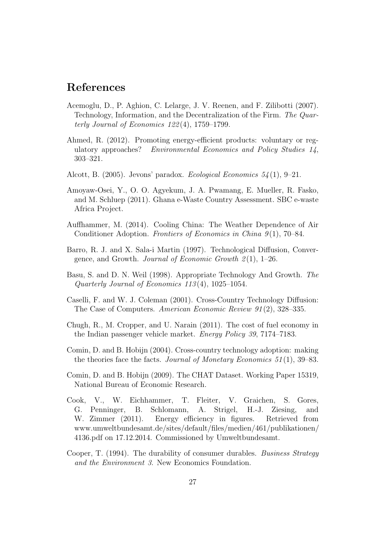## References

- Acemoglu, D., P. Aghion, C. Lelarge, J. V. Reenen, and F. Zilibotti (2007). Technology, Information, and the Decentralization of the Firm. The Quarterly Journal of Economics 122 (4), 1759–1799.
- Ahmed, R. (2012). Promoting energy-efficient products: voluntary or regulatory approaches? Environmental Economics and Policy Studies 14, 303–321.
- Alcott, B. (2005). Jevons' paradox. Ecological Economics 54 (1), 9–21.
- Amoyaw-Osei, Y., O. O. Agyekum, J. A. Pwamang, E. Mueller, R. Fasko, and M. Schluep (2011). Ghana e-Waste Country Assessment. SBC e-waste Africa Project.
- Auffhammer, M. (2014). Cooling China: The Weather Dependence of Air Conditioner Adoption. Frontiers of Economics in China  $9(1)$ , 70–84.
- Barro, R. J. and X. Sala-i Martin (1997). Technological Diffusion, Convergence, and Growth. Journal of Economic Growth  $2(1)$ , 1–26.
- Basu, S. and D. N. Weil (1998). Appropriate Technology And Growth. The Quarterly Journal of Economics 113 (4), 1025–1054.
- Caselli, F. and W. J. Coleman (2001). Cross-Country Technology Diffusion: The Case of Computers. American Economic Review 91 (2), 328–335.
- Chugh, R., M. Cropper, and U. Narain (2011). The cost of fuel economy in the Indian passenger vehicle market. Energy Policy 39, 7174–7183.
- Comin, D. and B. Hobijn (2004). Cross-country technology adoption: making the theories face the facts. Journal of Monetary Economics  $51(1)$ , 39–83.
- Comin, D. and B. Hobijn (2009). The CHAT Dataset. Working Paper 15319, National Bureau of Economic Research.
- Cook, V., W. Eichhammer, T. Fleiter, V. Graichen, S. Gores, G. Penninger, B. Schlomann, A. Strigel, H.-J. Ziesing, and W. Zimmer (2011). Energy efficiency in figures. Retrieved from www.umweltbundesamt.de/sites/default/files/medien/461/publikationen/ 4136.pdf on 17.12.2014. Commissioned by Umweltbundesamt.
- Cooper, T. (1994). The durability of consumer durables. Business Strategy and the Environment 3. New Economics Foundation.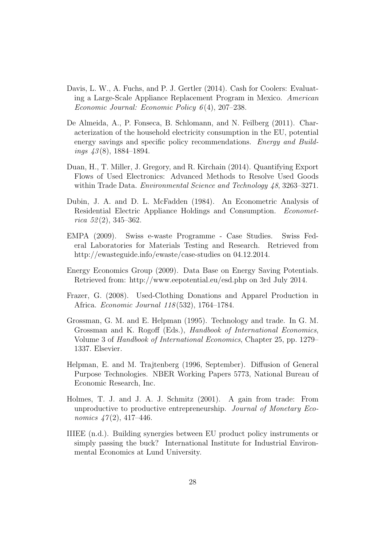- Davis, L. W., A. Fuchs, and P. J. Gertler (2014). Cash for Coolers: Evaluating a Large-Scale Appliance Replacement Program in Mexico. American Economic Journal: Economic Policy 6 (4), 207–238.
- De Almeida, A., P. Fonseca, B. Schlomann, and N. Feilberg (2011). Characterization of the household electricity consumption in the EU, potential energy savings and specific policy recommendations. *Energy and Build*ings  $\frac{43(8)}{1884-1894}$ .
- Duan, H., T. Miller, J. Gregory, and R. Kirchain (2014). Quantifying Export Flows of Used Electronics: Advanced Methods to Resolve Used Goods within Trade Data. *Environmental Science and Technology 48*, 3263–3271.
- Dubin, J. A. and D. L. McFadden (1984). An Econometric Analysis of Residential Electric Appliance Holdings and Consumption. Econometrica  $52(2)$ , 345–362.
- EMPA (2009). Swiss e-waste Programme Case Studies. Swiss Federal Laboratories for Materials Testing and Research. Retrieved from http://ewasteguide.info/ewaste/case-studies on 04.12.2014.
- Energy Economics Group (2009). Data Base on Energy Saving Potentials. Retrieved from: http://www.eepotential.eu/esd.php on 3rd July 2014.
- Frazer, G. (2008). Used-Clothing Donations and Apparel Production in Africa. Economic Journal 118 (532), 1764–1784.
- Grossman, G. M. and E. Helpman (1995). Technology and trade. In G. M. Grossman and K. Rogoff (Eds.), Handbook of International Economics, Volume 3 of Handbook of International Economics, Chapter 25, pp. 1279– 1337. Elsevier.
- Helpman, E. and M. Trajtenberg (1996, September). Diffusion of General Purpose Technologies. NBER Working Papers 5773, National Bureau of Economic Research, Inc.
- Holmes, T. J. and J. A. J. Schmitz (2001). A gain from trade: From unproductive to productive entrepreneurship. Journal of Monetary Economics  $47(2)$ , 417-446.
- IIIEE (n.d.). Building synergies between EU product policy instruments or simply passing the buck? International Institute for Industrial Environmental Economics at Lund University.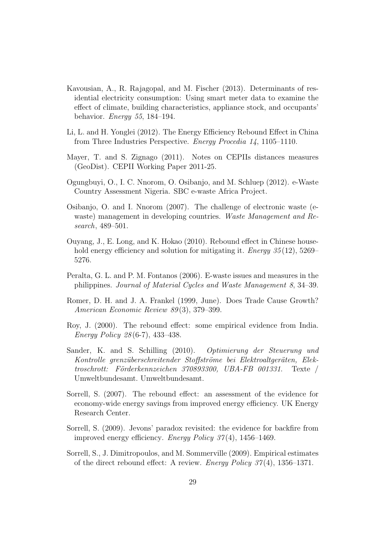- Kavousian, A., R. Rajagopal, and M. Fischer (2013). Determinants of residential electricity consumption: Using smart meter data to examine the effect of climate, building characteristics, appliance stock, and occupants' behavior. Energy 55, 184–194.
- Li, L. and H. Yonglei (2012). The Energy Efficiency Rebound Effect in China from Three Industries Perspective. Energy Procedia 14, 1105–1110.
- Mayer, T. and S. Zignago (2011). Notes on CEPIIs distances measures (GeoDist). CEPII Working Paper 2011-25.
- Ogungbuyi, O., I. C. Nnorom, O. Osibanjo, and M. Schluep (2012). e-Waste Country Assessment Nigeria. SBC e-waste Africa Project.
- Osibanjo, O. and I. Nnorom (2007). The challenge of electronic waste (ewaste) management in developing countries. Waste Management and Research, 489–501.
- Ouyang, J., E. Long, and K. Hokao (2010). Rebound effect in Chinese household energy efficiency and solution for mitigating it. *Energy* 35(12), 5269– 5276.
- Peralta, G. L. and P. M. Fontanos (2006). E-waste issues and measures in the philippines. Journal of Material Cycles and Waste Management 8, 34–39.
- Romer, D. H. and J. A. Frankel (1999, June). Does Trade Cause Growth? American Economic Review 89 (3), 379–399.
- Roy, J. (2000). The rebound effect: some empirical evidence from India. Energy Policy 28 (6-7), 433–438.
- Sander, K. and S. Schilling (2010). Optimierung der Steuerung und Kontrolle grenzüberschreitender Stoffströme bei Elektroaltgeräten, Elek $troschrott:$  Förderkennzeichen 370893300, UBA-FB 001331. Texte / Umweltbundesamt. Umweltbundesamt.
- Sorrell, S. (2007). The rebound effect: an assessment of the evidence for economy-wide energy savings from improved energy efficiency. UK Energy Research Center.
- Sorrell, S. (2009). Jevons' paradox revisited: the evidence for backfire from improved energy efficiency. *Energy Policy 37*(4), 1456–1469.
- Sorrell, S., J. Dimitropoulos, and M. Sommerville (2009). Empirical estimates of the direct rebound effect: A review. Energy Policy  $37(4)$ , 1356–1371.